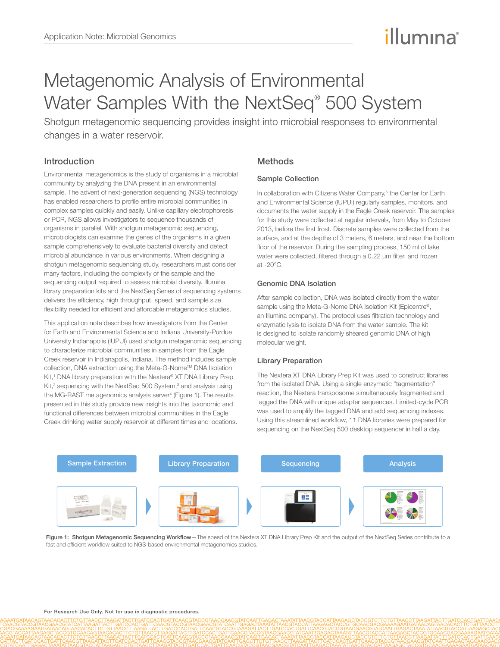# illumına

## Metagenomic Analysis of Environmental Water Samples With the NextSeq® 500 System

Shotgun metagenomic sequencing provides insight into microbial responses to environmental changes in a water reservoir.

## Introduction

Environmental metagenomics is the study of organisms in a microbial community by analyzing the DNA present in an environmental sample. The advent of next-generation sequencing (NGS) technology has enabled researchers to profile entire microbial communities in complex samples quickly and easily. Unlike capillary electrophoresis or PCR, NGS allows investigators to sequence thousands of organisms in parallel. With shotgun metagenomic sequencing, microbiologists can examine the genes of the organisms in a given sample comprehensively to evaluate bacterial diversity and detect microbial abundance in various environments. When designing a shotgun metagenomic sequencing study, researchers must consider many factors, including the complexity of the sample and the sequencing output required to assess microbial diversity. Illumina library preparation kits and the NextSeq Series of sequencing systems delivers the efficiency, high throughput, speed, and sample size flexibility needed for efficient and affordable metagenomics studies.

This application note describes how investigators from the Center for Earth and Environmental Science and Indiana University-Purdue University Indianapolis (IUPUI) used shotgun metagenomic sequencing to characterize microbial communities in samples from the Eagle Creek reservoir in Indianapolis, Indiana. The method includes sample collection, DNA extraction using the Meta-G-Nome™ DNA Isolation [Kit](http://www.epibio.com/applications/nucleic-acid-purification-extraction-kits/dna-purification-genomic/meta-g-nome-dna-isolation-kit),<sup>1</sup> DNA library preparation with the Nextera<sup>®</sup> XT DNA Library Prep [Kit](http://www.illumina.com/products/nextera_xt_dna_sample_prep_kit.ilmn),<sup>2</sup> sequencing with the [NextSeq 500 System,](http://www.illumina.com/systems/nextseq-sequencer.ilmn)<sup>[3](#page-2-2)</sup> and analysis using the [MG-RAST](metagenomics.anl.gov) metagenomics analysis server<sup>[4](#page-2-3)</sup> (Figure 1). The results presented in this study provide new insights into the taxonomic and functional differences between microbial communities in the Eagle Creek drinking water supply reservoir at different times and locations.

### **Methods**

#### Sample Collection

In collaboration with Citizens Water Company,<sup>5</sup> the Center for Earth and Environmental Science (IUPUI) regularly samples, monitors, and documents the water supply in the Eagle Creek reservoir. The samples for this study were collected at regular intervals, from May to October 2013, before the first frost. Discrete samples were collected from the surface, and at the depths of 3 meters, 6 meters, and near the bottom floor of the reservoir. During the sampling process, 150 ml of lake water were collected, filtered through a 0.22 μm filter, and frozen at -20°C.

#### Genomic DNA Isolation

After sample collection, DNA was isolated directly from the water sample using the [Meta-G-Nome DNA Isolation Kit](http://www.epibio.com/applications/nucleic-acid-purification-extraction-kits/dna-purification-genomic/meta-g-nome-dna-isolation-kit) (Epicentre®, an Illumina company). The protocol uses filtration technology and enzymatic lysis to isolate DNA from the water sample. The kit is designed to isolate randomly sheared genomic DNA of high molecular weight.

#### Library Preparation

The [Nextera XT DNA Library Prep Kit](http://www.illumina.com/products/nextera_xt_dna_sample_prep_kit.ilmn) was used to construct libraries from the isolated DNA. Using a single enzymatic "tagmentation" reaction, the Nextera transposome simultaneously fragmented and tagged the DNA with unique adapter sequences. Limited-cycle PCR was used to amplify the tagged DNA and add sequencing indexes. Using this streamlined workflow, 11 DNA libraries were prepared for sequencing on the NextSeq 500 desktop sequencer in half a day.



Figure 1: Shotgun Metagenomic Sequencing Workflow-The speed of the Nextera XT DNA Library Prep Kit and the output of the NextSeq Series contribute to a fast and efficient workflow suited to NGS-based environmental metagenomics studies.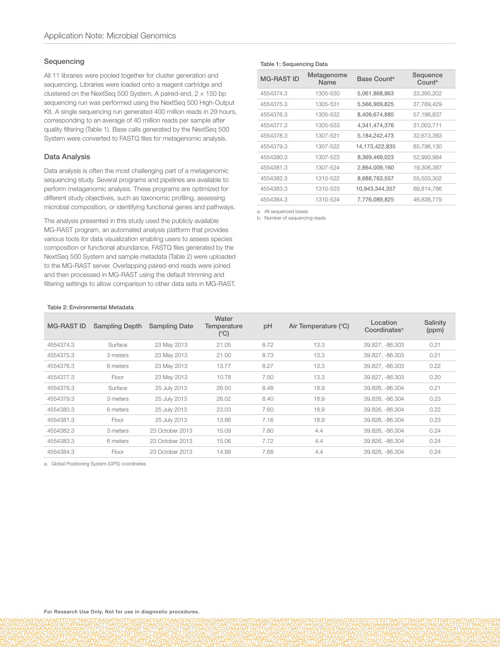#### Sequencing

All 11 libraries were pooled together for cluster generation and sequencing. Libraries were loaded onto a reagent cartridge and clustered on the NextSeq 500 System. A paired-end,  $2 \times 150$  bp sequencing run was performed using the NextSeq 500 High-Output Kit. A single sequencing run generated 400 million reads in 29 hours, corresponding to an average of 40 million reads per sample after quality filtering (Table 1). Base calls generated by the NextSeq 500 System were converted to FASTQ files for metagenomic analysis.

#### Data Analysis

Data analysis is often the most challenging part of a metagenomic sequencing study. Several programs and pipelines are available to perform metagenomic analysis. These programs are optimized for different study objectives, such as taxonomic profiling, assessing microbial composition, or identifying functional genes and pathways.

The analysis presented in this study used the publicly available MG-RAST program, an automated analysis platform that provides various tools for data visualization enabling users to assess species composition or functional abundance. FASTQ files generated by the NextSeq 500 System and sample metadata (Table 2) were uploaded to the MG-RAST server. Overlapping paired-end reads were joined and then processed in MG-RAST using the default trimming and filtering settings to allow comparison to other data sets in MG-RAST.

#### Table 1: Sequencing Data

| <b>MG-RAST ID</b> | Metagenome<br>Name | Base Count <sup>a</sup> | Sequence<br>Countb |  |
|-------------------|--------------------|-------------------------|--------------------|--|
| 4554374.3         | 1305-530           | 5,061,868,863           | 33,395,202         |  |
| 4554375.3         | 1305-531           | 5,566,909,825           | 37.789.429         |  |
| 4554376.3         | 1305-532           | 8,409,674,885           | 57,196,837         |  |
| 4554377.3         | 1305-533           | 4,341,474,376           | 31,003,711         |  |
| 4554378.3         | 1307-521           | 5, 184, 242, 473        | 32,673,383         |  |
| 4554379.3         | 1307-522           | 14,173,422,835          | 85,796,130         |  |
| 4554380.3         | 1307-523           | 8,369,469,023           | 52,993,984         |  |
| 4554381.3         | 1307-524           | 2,864,009,160           | 19,306,387         |  |
| 4554382.3         | 1310-522           | 8,688,763,557           | 55,503,302         |  |
| 4554383.3         | 1310-523           | 10,943,344,357          | 69,814,786         |  |
| 4554384.3         | 1310-524           | 7,776,089,825           | 46,838,779         |  |

<span id="page-1-0"></span>a. All sequenced bases

<span id="page-1-1"></span>b. Number of sequencing reads

| Table 2: Environmental Metadata |  |
|---------------------------------|--|
|---------------------------------|--|

| <b>MG-RAST ID</b> | <b>Sampling Depth</b> | <b>Sampling Date</b> | Water<br>Temperature<br>(C) | pH   | Air Temperature (°C) | Location<br>Coordinates <sup>a</sup> | Salinity<br>(ppm) |
|-------------------|-----------------------|----------------------|-----------------------------|------|----------------------|--------------------------------------|-------------------|
| 4554374.3         | Surface               | 23 May 2013          | 21.05                       | 8.72 | 13.3                 | 39.827, -86.303                      | 0.21              |
| 4554375.3         | 3 meters              | 23 May 2013          | 21.00                       | 8.73 | 13.3                 | 39.827, -86.303                      | 0.21              |
| 4554376.3         | 6 meters              | 23 May 2013          | 13.77                       | 8.27 | 13.3                 | 39.827, -86.303                      | 0.22              |
| 4554377.3         | Floor                 | 23 May 2013          | 10.78                       | 7.50 | 13.3                 | 39.827. -86.303                      | 0.20              |
| 4554378.3         | Surface               | 25 July 2013         | 26.50                       | 8.48 | 18.9                 | 39.826, -86.304                      | 0.21              |
| 4554379.3         | 3 meters              | 25 July 2013         | 26.02                       | 8.40 | 18.9                 | 39.826, -86.304                      | 0.23              |
| 4554380.3         | 6 meters              | 25 July 2013         | 23.03                       | 7.60 | 18.9                 | 39.826. -86.304                      | 0.22              |
| 4554381.3         | Floor                 | 25 July 2013         | 13.86                       | 7.16 | 18.9                 | 39.826. - 86.304                     | 0.23              |
| 4554382.3         | 3 meters              | 23 October 2013      | 15.09                       | 7.80 | 4.4                  | 39.826. - 86.304                     | 0.24              |
| 4554383.3         | 6 meters              | 23 October 2013      | 15.06                       | 7.72 | 4.4                  | 39.826, -86.304                      | 0.24              |
| 4554384.3         | Floor                 | 23 October 2013      | 14.99                       | 7.68 | 4.4                  | 39.826. - 86.304                     | 0.24              |

<span id="page-1-2"></span>a. Global Positioning System (GPS) coordinates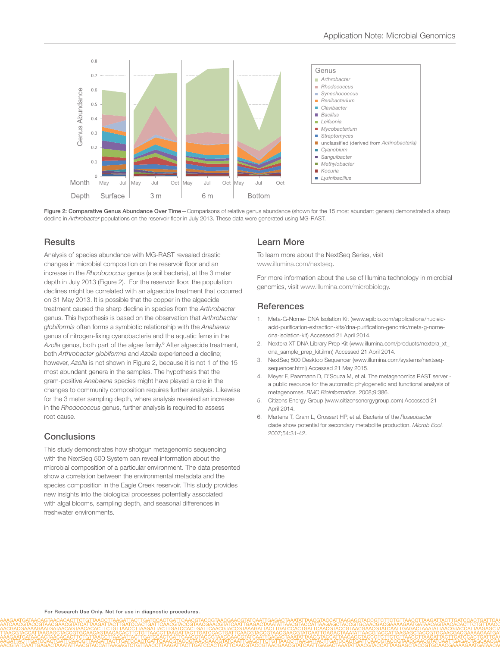

Figure 2: Comparative Genus Abundance Over Time-Comparisons of relative genus abundance (shown for the 15 most abundant genera) demonstrated a sharp decline in *Arthrobacter* populations on the reservoir floor in July 2013. These data were generated using MG-RAST.

#### **Results**

Analysis of species abundance with MG-RAST revealed drastic changes in microbial composition on the reservoir floor and an increase in the *Rhodococcus* genus (a soil bacteria), at the 3 meter depth in July 2013 (Figure 2). For the reservoir floor, the population declines might be correlated with an algaecide treatment that occurred on 31 May 2013. It is possible that the copper in the algaecide treatment caused the sharp decline in species from the *Arthrobacter* genus. This hypothesis is based on the observation that *Arthrobacter globiformis* often forms a symbiotic relationship with the *Anabaena* genus of nitrogen-fixing cyanobacteria and the aquatic ferns in the Azolla genus, both part of the algae family.<sup>[6](#page-2-5)</sup> After algaecide treatment, both *Arthrobacter globiformis* and *Azolla* experienced a decline; however, *Azolla* is not shown in Figure 2, because it is not 1 of the 15 most abundant genera in the samples. The hypothesis that the gram-positive *Anabaena* species might have played a role in the changes to community composition requires further analysis. Likewise for the 3 meter sampling depth, where analysis revealed an increase in the *Rhodococcus* genus, further analysis is required to assess root cause.

#### Conclusions

This study demonstrates how shotgun metagenomic sequencing with the NextSeq 500 System can reveal information about the microbial composition of a particular environment. The data presented show a correlation between the environmental metadata and the species composition in the Eagle Creek reservoir. This study provides new insights into the biological processes potentially associated with algal blooms, sampling depth, and seasonal differences in freshwater environments.

#### Learn More

To learn more about the NextSeq Series, visit www.illumina.com/nextseq.

For more information about the use of Illumina technology in microbial genomics, visit www.illumina.com/microbiology.

#### **References**

- <span id="page-2-0"></span>1. Meta-G-Nome- DNA Isolation Kit [\(www.epibio.com/applications/nucleic](http://www.epibio.com/applications/nucleic-acid-purification-extraction-kits/dna-purification-genomic/meta-g-nome-dna-isolation-kit)[acid-purification-extraction-kits/dna-purification-genomic/meta-g-nome](http://www.epibio.com/applications/nucleic-acid-purification-extraction-kits/dna-purification-genomic/meta-g-nome-dna-isolation-kit)[dna-isolation-kit](http://www.epibio.com/applications/nucleic-acid-purification-extraction-kits/dna-purification-genomic/meta-g-nome-dna-isolation-kit)) Accessed 21 April 2014.
- <span id="page-2-1"></span>2. Nextera XT DNA Library Prep Kit ([www.illumina.com/products/nextera\\_xt\\_](http://www.illumina.com/products/nextera_xt_dna_sample_prep_kit.ilmn) [dna\\_sample\\_prep\\_kit.ilmn\)](http://www.illumina.com/products/nextera_xt_dna_sample_prep_kit.ilmn) Accessed 21 April 2014.
- <span id="page-2-2"></span>3. NextSeq 500 Desktop Sequencer (www.illumina.com/systems/nextseqsequencer.html) Accessed 21 May 2015.
- <span id="page-2-3"></span>4. Meyer F, Paarmann D, D'Souza M, et al. [The metagenomics RAST server](http://www.ncbi.nlm.nih.gov/pubmed/18803844)  [a public resource for the automatic phylogenetic and functional analysis of](http://www.ncbi.nlm.nih.gov/pubmed/18803844)  [metagenomes.](http://www.ncbi.nlm.nih.gov/pubmed/18803844) *BMC Bioinformatics.* 2008;9:386.
- <span id="page-2-4"></span>5. Citizens Energy Group (www.citizensenergygroup.com) Accessed 21 April 2014.
- <span id="page-2-5"></span>6. [Martens T, Gram L, Grossart HP, et al. Bacteria of the](http://link.springer.com/article/10.1007%2Fs00248-006-9165-2) *Roseobacter* [clade show potential for secondary metabolite production.](http://link.springer.com/article/10.1007%2Fs00248-006-9165-2) *Microb Ecol.* [2007;54:31-42.](http://link.springer.com/article/10.1007%2Fs00248-006-9165-2)